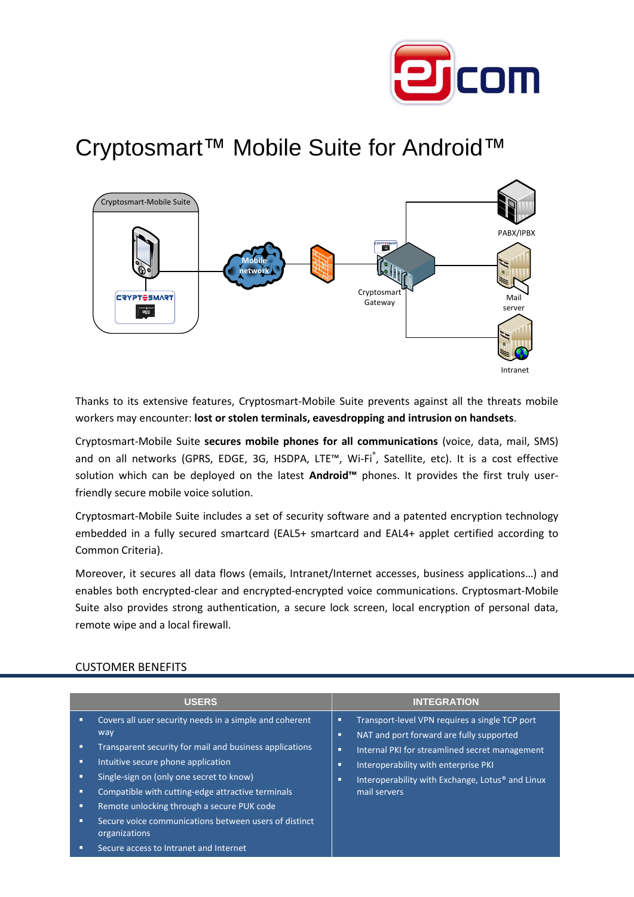

## Cryptosmart™ Mobile Suite for Android™



Thanks to its extensive features, Cryptosmart-Mobile Suite prevents against all the threats mobile workers may encounter: **lost or stolen terminals, eavesdropping and intrusion on handsets**.

Cryptosmart-Mobile Suite **secures mobile phones for all communications** (voice, data, mail, SMS) and on all networks (GPRS, EDGE, 3G, HSDPA, LTE™, Wi-Fi®, Satellite, etc). It is a cost effective solution which can be deployed on the latest **Android™** phones. It provides the first truly userfriendly secure mobile voice solution.

Cryptosmart-Mobile Suite includes a set of security software and a patented encryption technology embedded in a fully secured smartcard (EAL5+ smartcard and EAL4+ applet certified according to Common Criteria).

Moreover, it secures all data flows (emails, Intranet/Internet accesses, business applications…) and enables both encrypted-clear and encrypted-encrypted voice communications. Cryptosmart-Mobile Suite also provides strong authentication, a secure lock screen, local encryption of personal data, remote wipe and a local firewall.

|                  | <b>USERS</b>                                                                                                                                                                                                                                                                                                                                                                                                                       | <b>INTEGRATION</b>                                                                                                                                                                                                                                                                            |
|------------------|------------------------------------------------------------------------------------------------------------------------------------------------------------------------------------------------------------------------------------------------------------------------------------------------------------------------------------------------------------------------------------------------------------------------------------|-----------------------------------------------------------------------------------------------------------------------------------------------------------------------------------------------------------------------------------------------------------------------------------------------|
| п<br>п<br>п<br>п | Covers all user security needs in a simple and coherent<br>way<br>Transparent security for mail and business applications<br>Intuitive secure phone application<br>Single-sign on (only one secret to know)<br>Compatible with cutting-edge attractive terminals<br>Remote unlocking through a secure PUK code<br>Secure voice communications between users of distinct<br>organizations<br>Secure access to Intranet and Internet | Transport-level VPN requires a single TCP port<br>п<br>NAT and port forward are fully supported<br>п<br>Internal PKI for streamlined secret management<br>о<br>Interoperability with enterprise PKI<br>п<br>Interoperability with Exchange, Lotus <sup>®</sup> and Linux<br>п<br>mail servers |

## CUSTOMER BENEFITS